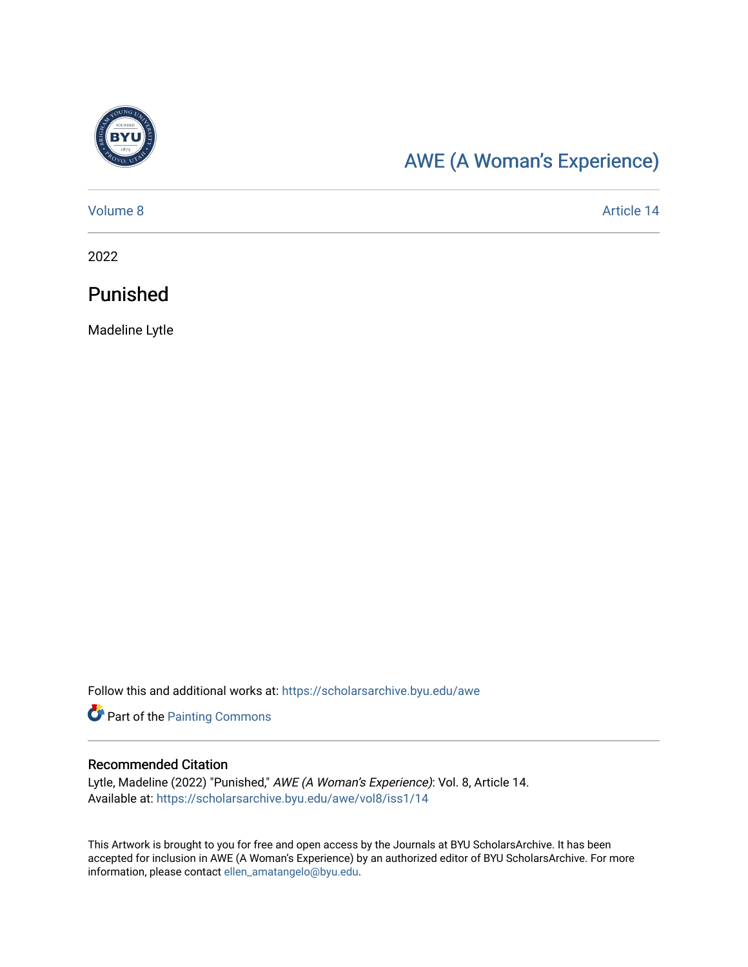

## [AWE \(A Woman's Experience\)](https://scholarsarchive.byu.edu/awe)

[Volume 8](https://scholarsarchive.byu.edu/awe/vol8) Article 14

2022

### Punished

Madeline Lytle

Follow this and additional works at: [https://scholarsarchive.byu.edu/awe](https://scholarsarchive.byu.edu/awe?utm_source=scholarsarchive.byu.edu%2Fawe%2Fvol8%2Fiss1%2F14&utm_medium=PDF&utm_campaign=PDFCoverPages)

**Part of the [Painting Commons](https://network.bepress.com/hgg/discipline/1339?utm_source=scholarsarchive.byu.edu%2Fawe%2Fvol8%2Fiss1%2F14&utm_medium=PDF&utm_campaign=PDFCoverPages)** 

#### Recommended Citation

Lytle, Madeline (2022) "Punished," AWE (A Woman's Experience): Vol. 8, Article 14. Available at: [https://scholarsarchive.byu.edu/awe/vol8/iss1/14](https://scholarsarchive.byu.edu/awe/vol8/iss1/14?utm_source=scholarsarchive.byu.edu%2Fawe%2Fvol8%2Fiss1%2F14&utm_medium=PDF&utm_campaign=PDFCoverPages) 

This Artwork is brought to you for free and open access by the Journals at BYU ScholarsArchive. It has been accepted for inclusion in AWE (A Woman's Experience) by an authorized editor of BYU ScholarsArchive. For more information, please contact [ellen\\_amatangelo@byu.edu.](mailto:ellen_amatangelo@byu.edu)